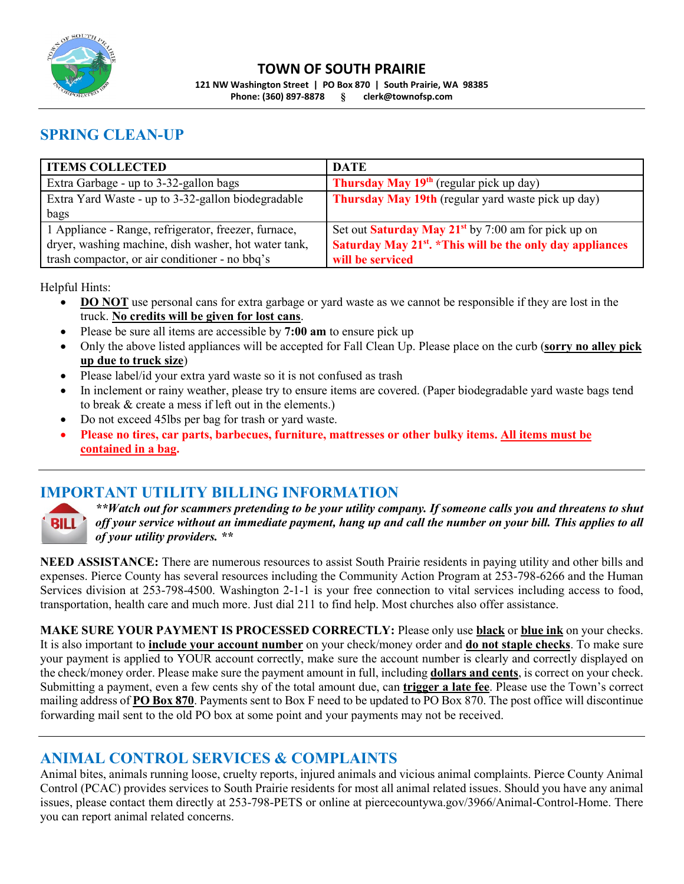

#### **TOWN OF SOUTH PRAIRIE**

**121 NW Washington Street | PO Box 870 | South Prairie, WA 98385 Phone: (360) 897-8878 § clerk@townofsp.com**

## **SPRING CLEAN-UP**

| <b>ITEMS COLLECTED</b>                               | <b>DATE</b>                                                            |
|------------------------------------------------------|------------------------------------------------------------------------|
| Extra Garbage - up to 3-32-gallon bags               | <b>Thursday May 19<sup>th</sup></b> (regular pick up day)              |
| Extra Yard Waste - up to 3-32-gallon biodegradable   | <b>Thursday May 19th</b> (regular yard waste pick up day)              |
| bags                                                 |                                                                        |
| 1 Appliance - Range, refrigerator, freezer, furnace, | Set out <b>Saturday May 21</b> <sup>st</sup> by 7:00 am for pick up on |
| dryer, washing machine, dish washer, hot water tank, | Saturday May 21 <sup>st</sup> . *This will be the only day appliances  |
| trash compactor, or air conditioner - no bbq's       | will be serviced                                                       |

Helpful Hints:

- **DO NOT** use personal cans for extra garbage or yard waste as we cannot be responsible if they are lost in the truck. **No credits will be given for lost cans**.
- Please be sure all items are accessible by **7:00 am** to ensure pick up
- Only the above listed appliances will be accepted for Fall Clean Up. Please place on the curb (**sorry no alley pick up due to truck size**)
- Please label/id your extra yard waste so it is not confused as trash
- In inclement or rainy weather, please try to ensure items are covered. (Paper biodegradable yard waste bags tend to break & create a mess if left out in the elements.)
- Do not exceed 45lbs per bag for trash or yard waste.
- **Please no tires, car parts, barbecues, furniture, mattresses or other bulky items. All items must be contained in a bag.**

### **IMPORTANT UTILITY BILLING INFORMATION**



*\*\*Watch out for scammers pretending to be your utility company. If someone calls you and threatens to shut off your service without an immediate payment, hang up and call the number on your bill. This applies to all of your utility providers. \*\**

**NEED ASSISTANCE:** There are numerous resources to assist South Prairie residents in paying utility and other bills and expenses. Pierce County has several resources including the Community Action Program at 253-798-6266 and the Human Services division at 253-798-4500. Washington 2-1-1 is your free connection to vital services including access to food, transportation, health care and much more. Just dial 211 to find help. Most churches also offer assistance.

**MAKE SURE YOUR PAYMENT IS PROCESSED CORRECTLY:** Please only use **black** or **blue ink** on your checks. It is also important to **include your account number** on your check/money order and **do not staple checks**. To make sure your payment is applied to YOUR account correctly, make sure the account number is clearly and correctly displayed on the check/money order. Please make sure the payment amount in full, including **dollars and cents**, is correct on your check. Submitting a payment, even a few cents shy of the total amount due, can **trigger a late fee**. Please use the Town's correct mailing address of **PO Box 870**. Payments sent to Box F need to be updated to PO Box 870. The post office will discontinue forwarding mail sent to the old PO box at some point and your payments may not be received.

#### **ANIMAL CONTROL SERVICES & COMPLAINTS**

Animal bites, animals running loose, cruelty reports, injured animals and vicious animal complaints. Pierce County Animal Control (PCAC) provides services to South Prairie residents for most all animal related issues. Should you have any animal issues, please contact them directly at 253-798-PETS or online at piercecountywa.gov/3966/Animal-Control-Home. There you can report animal related concerns.